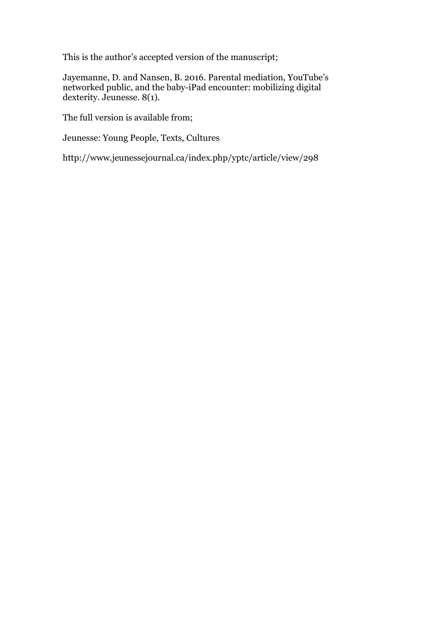This is the author's accepted version of the manuscript;

Jayemanne, D. and Nansen, B. 2016. Parental mediation, YouTube's networked public, and the baby-iPad encounter: mobilizing digital dexterity. Jeunesse. 8(1).

The full version is available from;

Jeunesse: Young People, Texts, Cultures

http://www.jeunessejournal.ca/index.php/yptc/article/view/298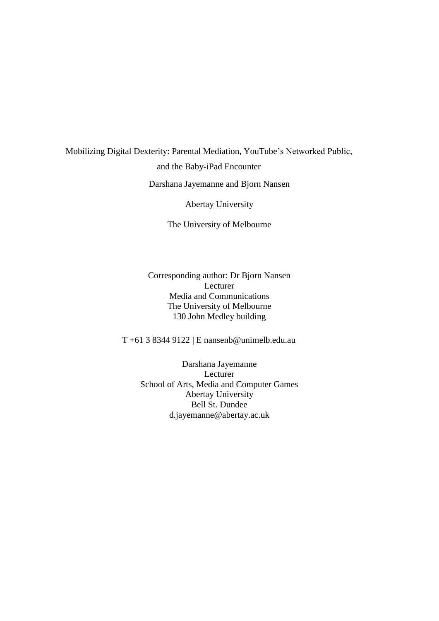# Mobilizing Digital Dexterity: Parental Mediation, YouTube's Networked Public, and the Baby-iPad Encounter Darshana Jayemanne and Bjorn Nansen

Abertay University

The University of Melbourne

Corresponding author: Dr Bjorn Nansen Lecturer Media and Communications The University of Melbourne 130 John Medley building

T +61 3 8344 9122 **|** E [nansenb@unimelb.edu.au](mailto:nansenb@unimelb.edu.au)

Darshana Jayemanne Lecturer School of Arts, Media and Computer Games Abertay University Bell St. Dundee d.jayemanne@abertay.ac.uk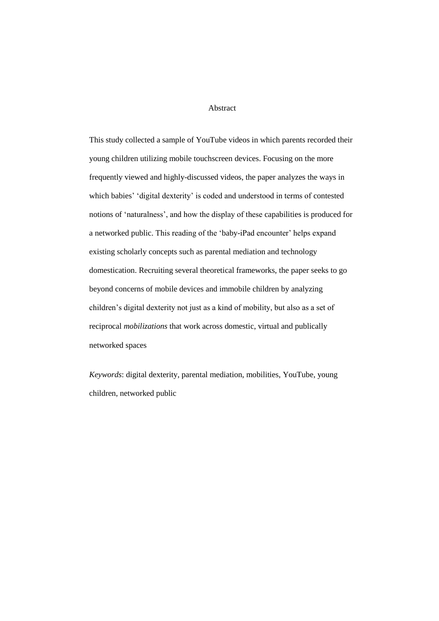#### Abstract

This study collected a sample of YouTube videos in which parents recorded their young children utilizing mobile touchscreen devices. Focusing on the more frequently viewed and highly-discussed videos, the paper analyzes the ways in which babies' 'digital dexterity' is coded and understood in terms of contested notions of 'naturalness', and how the display of these capabilities is produced for a networked public. This reading of the 'baby-iPad encounter' helps expand existing scholarly concepts such as parental mediation and technology domestication. Recruiting several theoretical frameworks, the paper seeks to go beyond concerns of mobile devices and immobile children by analyzing children's digital dexterity not just as a kind of mobility, but also as a set of reciprocal *mobilizations* that work across domestic, virtual and publically networked spaces

*Keywords*: digital dexterity, parental mediation, mobilities, YouTube, young children, networked public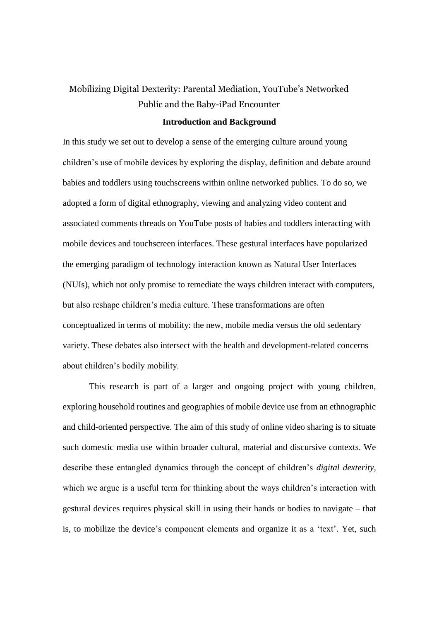## Mobilizing Digital Dexterity: Parental Mediation, YouTube's Networked Public and the Baby-iPad Encounter

#### **Introduction and Background**

In this study we set out to develop a sense of the emerging culture around young children's use of mobile devices by exploring the display, definition and debate around babies and toddlers using touchscreens within online networked publics. To do so, we adopted a form of digital ethnography, viewing and analyzing video content and associated comments threads on YouTube posts of babies and toddlers interacting with mobile devices and touchscreen interfaces. These gestural interfaces have popularized the emerging paradigm of technology interaction known as Natural User Interfaces (NUIs), which not only promise to remediate the ways children interact with computers, but also reshape children's media culture. These transformations are often conceptualized in terms of mobility: the new, mobile media versus the old sedentary variety. These debates also intersect with the health and development-related concerns about children's bodily mobility.

This research is part of a larger and ongoing project with young children, exploring household routines and geographies of mobile device use from an ethnographic and child-oriented perspective. The aim of this study of online video sharing is to situate such domestic media use within broader cultural, material and discursive contexts. We describe these entangled dynamics through the concept of children's *digital dexterity,*  which we argue is a useful term for thinking about the ways children's interaction with gestural devices requires physical skill in using their hands or bodies to navigate – that is, to mobilize the device's component elements and organize it as a 'text'. Yet, such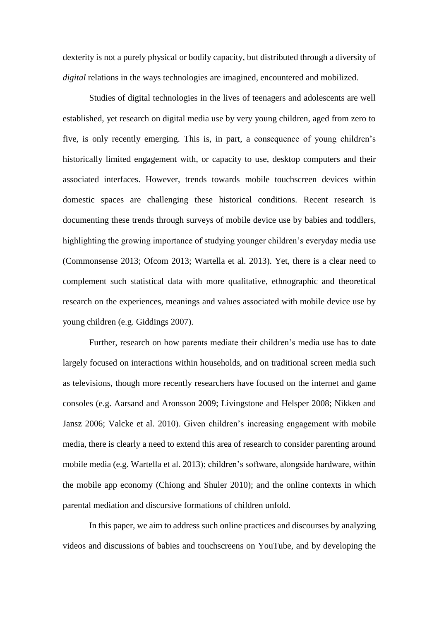dexterity is not a purely physical or bodily capacity, but distributed through a diversity of *digital* relations in the ways technologies are imagined, encountered and mobilized.

Studies of digital technologies in the lives of teenagers and adolescents are well established, yet research on digital media use by very young children, aged from zero to five, is only recently emerging. This is, in part, a consequence of young children's historically limited engagement with, or capacity to use, desktop computers and their associated interfaces. However, trends towards mobile touchscreen devices within domestic spaces are challenging these historical conditions. Recent research is documenting these trends through surveys of mobile device use by babies and toddlers, highlighting the growing importance of studying younger children's everyday media use (Commonsense 2013; Ofcom 2013; Wartella et al. 2013). Yet, there is a clear need to complement such statistical data with more qualitative, ethnographic and theoretical research on the experiences, meanings and values associated with mobile device use by young children (e.g. Giddings 2007).

Further, research on how parents mediate their children's media use has to date largely focused on interactions within households, and on traditional screen media such as televisions, though more recently researchers have focused on the internet and game consoles (e.g. Aarsand and Aronsson 2009; Livingstone and Helsper 2008; Nikken and Jansz 2006; Valcke et al. 2010). Given children's increasing engagement with mobile media, there is clearly a need to extend this area of research to consider parenting around mobile media (e.g. Wartella et al. 2013); children's software, alongside hardware, within the mobile app economy (Chiong and Shuler 2010); and the online contexts in which parental mediation and discursive formations of children unfold.

In this paper, we aim to address such online practices and discourses by analyzing videos and discussions of babies and touchscreens on YouTube, and by developing the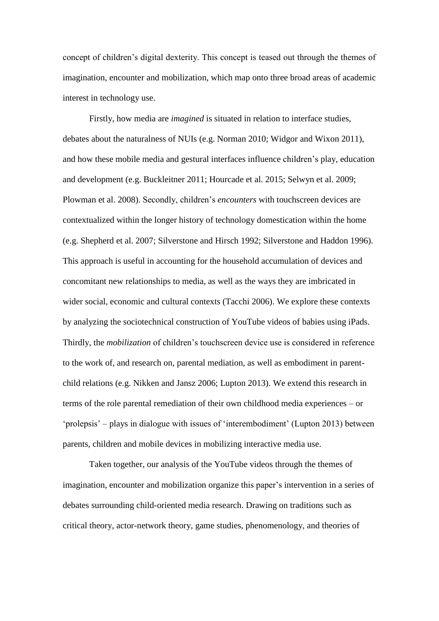concept of children's digital dexterity. This concept is teased out through the themes of imagination, encounter and mobilization, which map onto three broad areas of academic interest in technology use.

Firstly, how media are *imagined* is situated in relation to interface studies, debates about the naturalness of NUIs (e.g. Norman 2010; Widgor and Wixon 2011), and how these mobile media and gestural interfaces influence children's play, education and development (e.g. Buckleitner 2011; Hourcade et al. 2015; Selwyn et al. 2009; Plowman et al. 2008). Secondly, children's *encounters* with touchscreen devices are contextualized within the longer history of technology domestication within the home (e.g. Shepherd et al. 2007; Silverstone and Hirsch 1992; Silverstone and Haddon 1996). This approach is useful in accounting for the household accumulation of devices and concomitant new relationships to media, as well as the ways they are imbricated in wider social, economic and cultural contexts (Tacchi 2006). We explore these contexts by analyzing the sociotechnical construction of YouTube videos of babies using iPads. Thirdly, the *mobilization* of children's touchscreen device use is considered in reference to the work of, and research on, parental mediation, as well as embodiment in parentchild relations (e.g. Nikken and Jansz 2006; Lupton 2013). We extend this research in terms of the role parental remediation of their own childhood media experiences – or 'prolepsis' – plays in dialogue with issues of 'interembodiment' (Lupton 2013) between parents, children and mobile devices in mobilizing interactive media use.

Taken together, our analysis of the YouTube videos through the themes of imagination, encounter and mobilization organize this paper's intervention in a series of debates surrounding child-oriented media research. Drawing on traditions such as critical theory, actor-network theory, game studies, phenomenology, and theories of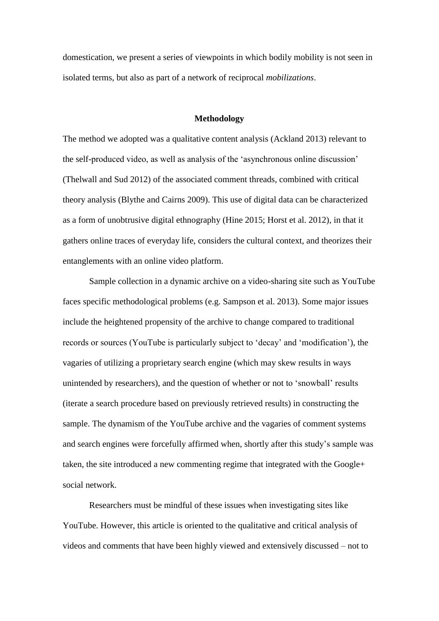domestication, we present a series of viewpoints in which bodily mobility is not seen in isolated terms, but also as part of a network of reciprocal *mobilizations*.

#### **Methodology**

The method we adopted was a qualitative content analysis (Ackland 2013) relevant to the self-produced video, as well as analysis of the 'asynchronous online discussion' (Thelwall and Sud 2012) of the associated comment threads, combined with critical theory analysis (Blythe and Cairns 2009). This use of digital data can be characterized as a form of unobtrusive digital ethnography (Hine 2015; Horst et al. 2012), in that it gathers online traces of everyday life, considers the cultural context, and theorizes their entanglements with an online video platform.

Sample collection in a dynamic archive on a video-sharing site such as YouTube faces specific methodological problems (e.g. Sampson et al. 2013). Some major issues include the heightened propensity of the archive to change compared to traditional records or sources (YouTube is particularly subject to 'decay' and 'modification'), the vagaries of utilizing a proprietary search engine (which may skew results in ways unintended by researchers), and the question of whether or not to 'snowball' results (iterate a search procedure based on previously retrieved results) in constructing the sample. The dynamism of the YouTube archive and the vagaries of comment systems and search engines were forcefully affirmed when, shortly after this study's sample was taken, the site introduced a new commenting regime that integrated with the Google+ social network.

Researchers must be mindful of these issues when investigating sites like YouTube. However, this article is oriented to the qualitative and critical analysis of videos and comments that have been highly viewed and extensively discussed – not to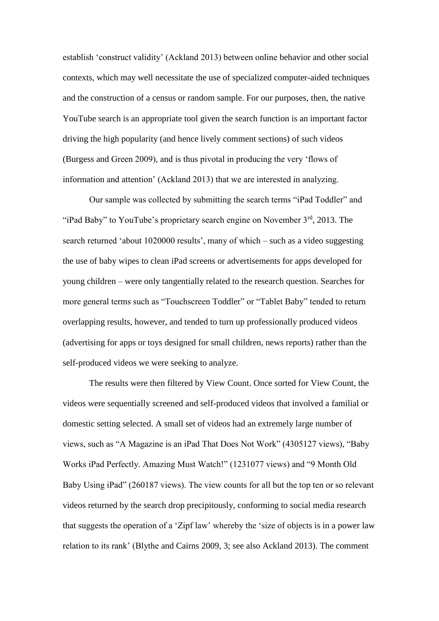establish 'construct validity' (Ackland 2013) between online behavior and other social contexts, which may well necessitate the use of specialized computer-aided techniques and the construction of a census or random sample. For our purposes, then, the native YouTube search is an appropriate tool given the search function is an important factor driving the high popularity (and hence lively comment sections) of such videos (Burgess and Green 2009), and is thus pivotal in producing the very 'flows of information and attention' (Ackland 2013) that we are interested in analyzing.

Our sample was collected by submitting the search terms "iPad Toddler" and "iPad Baby" to YouTube's proprietary search engine on November  $3<sup>rd</sup>$ , 2013. The search returned 'about 1020000 results', many of which – such as a video suggesting the use of baby wipes to clean iPad screens or advertisements for apps developed for young children – were only tangentially related to the research question. Searches for more general terms such as "Touchscreen Toddler" or "Tablet Baby" tended to return overlapping results, however, and tended to turn up professionally produced videos (advertising for apps or toys designed for small children, news reports) rather than the self-produced videos we were seeking to analyze.

The results were then filtered by View Count. Once sorted for View Count, the videos were sequentially screened and self-produced videos that involved a familial or domestic setting selected. A small set of videos had an extremely large number of views, such as "A Magazine is an iPad That Does Not Work" (4305127 views), "Baby Works iPad Perfectly. Amazing Must Watch!" (1231077 views) and "9 Month Old Baby Using iPad" (260187 views). The view counts for all but the top ten or so relevant videos returned by the search drop precipitously, conforming to social media research that suggests the operation of a 'Zipf law' whereby the 'size of objects is in a power law relation to its rank' (Blythe and Cairns 2009, 3; see also Ackland 2013). The comment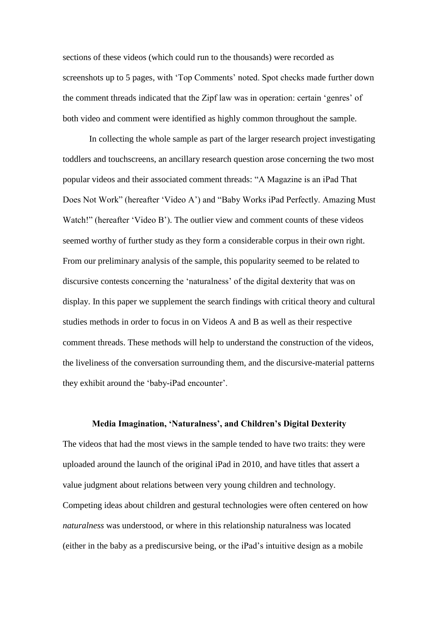sections of these videos (which could run to the thousands) were recorded as screenshots up to 5 pages, with 'Top Comments' noted. Spot checks made further down the comment threads indicated that the Zipf law was in operation: certain 'genres' of both video and comment were identified as highly common throughout the sample.

In collecting the whole sample as part of the larger research project investigating toddlers and touchscreens, an ancillary research question arose concerning the two most popular videos and their associated comment threads: "A Magazine is an iPad That Does Not Work" (hereafter 'Video A') and "Baby Works iPad Perfectly. Amazing Must Watch!" (hereafter 'Video B'). The outlier view and comment counts of these videos seemed worthy of further study as they form a considerable corpus in their own right. From our preliminary analysis of the sample, this popularity seemed to be related to discursive contests concerning the 'naturalness' of the digital dexterity that was on display. In this paper we supplement the search findings with critical theory and cultural studies methods in order to focus in on Videos A and B as well as their respective comment threads. These methods will help to understand the construction of the videos, the liveliness of the conversation surrounding them, and the discursive-material patterns they exhibit around the 'baby-iPad encounter'.

### **Media Imagination, 'Naturalness', and Children's Digital Dexterity**

The videos that had the most views in the sample tended to have two traits: they were uploaded around the launch of the original iPad in 2010, and have titles that assert a value judgment about relations between very young children and technology. Competing ideas about children and gestural technologies were often centered on how *naturalness* was understood, or where in this relationship naturalness was located (either in the baby as a prediscursive being, or the iPad's intuitive design as a mobile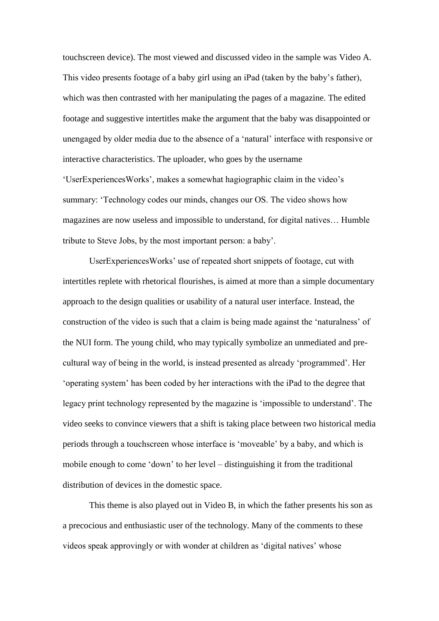touchscreen device). The most viewed and discussed video in the sample was Video A. This video presents footage of a baby girl using an iPad (taken by the baby's father), which was then contrasted with her manipulating the pages of a magazine. The edited footage and suggestive intertitles make the argument that the baby was disappointed or unengaged by older media due to the absence of a 'natural' interface with responsive or interactive characteristics. The uploader, who goes by the username 'UserExperiencesWorks', makes a somewhat hagiographic claim in the video's summary: 'Technology codes our minds, changes our OS. The video shows how magazines are now useless and impossible to understand, for digital natives… Humble tribute to Steve Jobs, by the most important person: a baby'.

UserExperiencesWorks' use of repeated short snippets of footage, cut with intertitles replete with rhetorical flourishes, is aimed at more than a simple documentary approach to the design qualities or usability of a natural user interface. Instead, the construction of the video is such that a claim is being made against the 'naturalness' of the NUI form. The young child, who may typically symbolize an unmediated and precultural way of being in the world, is instead presented as already 'programmed'. Her 'operating system' has been coded by her interactions with the iPad to the degree that legacy print technology represented by the magazine is 'impossible to understand'. The video seeks to convince viewers that a shift is taking place between two historical media periods through a touchscreen whose interface is 'moveable' by a baby, and which is mobile enough to come 'down' to her level – distinguishing it from the traditional distribution of devices in the domestic space.

This theme is also played out in Video B, in which the father presents his son as a precocious and enthusiastic user of the technology. Many of the comments to these videos speak approvingly or with wonder at children as 'digital natives' whose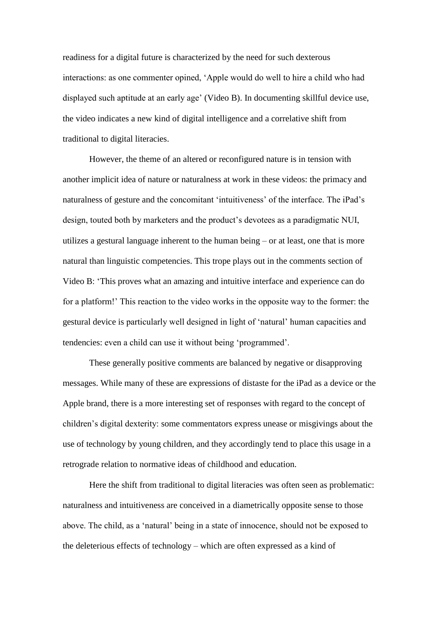readiness for a digital future is characterized by the need for such dexterous interactions: as one commenter opined, 'Apple would do well to hire a child who had displayed such aptitude at an early age' (Video B). In documenting skillful device use, the video indicates a new kind of digital intelligence and a correlative shift from traditional to digital literacies.

However, the theme of an altered or reconfigured nature is in tension with another implicit idea of nature or naturalness at work in these videos: the primacy and naturalness of gesture and the concomitant 'intuitiveness' of the interface. The iPad's design, touted both by marketers and the product's devotees as a paradigmatic NUI, utilizes a gestural language inherent to the human being – or at least, one that is more natural than linguistic competencies. This trope plays out in the comments section of Video B: 'This proves what an amazing and intuitive interface and experience can do for a platform!' This reaction to the video works in the opposite way to the former: the gestural device is particularly well designed in light of 'natural' human capacities and tendencies: even a child can use it without being 'programmed'.

These generally positive comments are balanced by negative or disapproving messages. While many of these are expressions of distaste for the iPad as a device or the Apple brand, there is a more interesting set of responses with regard to the concept of children's digital dexterity: some commentators express unease or misgivings about the use of technology by young children, and they accordingly tend to place this usage in a retrograde relation to normative ideas of childhood and education.

Here the shift from traditional to digital literacies was often seen as problematic: naturalness and intuitiveness are conceived in a diametrically opposite sense to those above. The child, as a 'natural' being in a state of innocence, should not be exposed to the deleterious effects of technology – which are often expressed as a kind of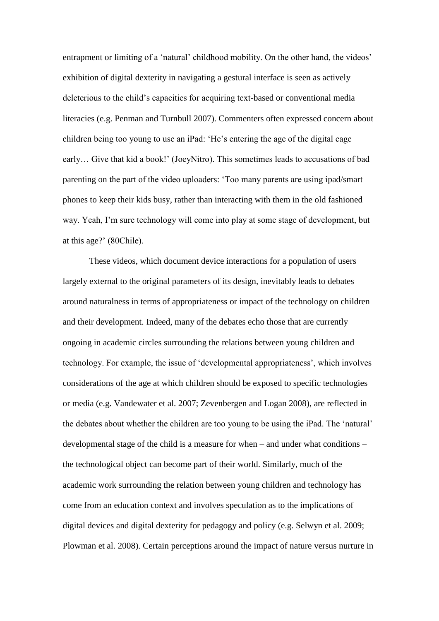entrapment or limiting of a 'natural' childhood mobility. On the other hand, the videos' exhibition of digital dexterity in navigating a gestural interface is seen as actively deleterious to the child's capacities for acquiring text-based or conventional media literacies (e.g. Penman and Turnbull 2007). Commenters often expressed concern about children being too young to use an iPad: 'He's entering the age of the digital cage early… Give that kid a book!' (JoeyNitro). This sometimes leads to accusations of bad parenting on the part of the video uploaders: 'Too many parents are using ipad/smart phones to keep their kids busy, rather than interacting with them in the old fashioned way. Yeah, I'm sure technology will come into play at some stage of development, but at this age?' (80Chile).

These videos, which document device interactions for a population of users largely external to the original parameters of its design, inevitably leads to debates around naturalness in terms of appropriateness or impact of the technology on children and their development. Indeed, many of the debates echo those that are currently ongoing in academic circles surrounding the relations between young children and technology. For example, the issue of 'developmental appropriateness', which involves considerations of the age at which children should be exposed to specific technologies or media (e.g. Vandewater et al. 2007; Zevenbergen and Logan 2008), are reflected in the debates about whether the children are too young to be using the iPad. The 'natural' developmental stage of the child is a measure for when – and under what conditions – the technological object can become part of their world. Similarly, much of the academic work surrounding the relation between young children and technology has come from an education context and involves speculation as to the implications of digital devices and digital dexterity for pedagogy and policy (e.g. Selwyn et al. 2009; Plowman et al. 2008). Certain perceptions around the impact of nature versus nurture in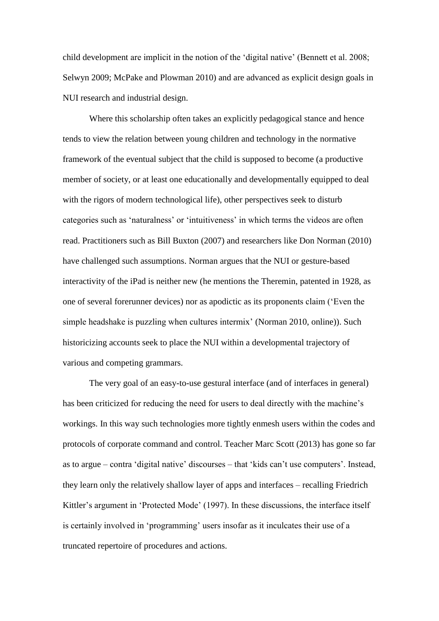child development are implicit in the notion of the 'digital native' (Bennett et al. 2008; Selwyn 2009; McPake and Plowman 2010) and are advanced as explicit design goals in NUI research and industrial design.

Where this scholarship often takes an explicitly pedagogical stance and hence tends to view the relation between young children and technology in the normative framework of the eventual subject that the child is supposed to become (a productive member of society, or at least one educationally and developmentally equipped to deal with the rigors of modern technological life), other perspectives seek to disturb categories such as 'naturalness' or 'intuitiveness' in which terms the videos are often read. Practitioners such as Bill Buxton (2007) and researchers like Don Norman (2010) have challenged such assumptions. Norman argues that the NUI or gesture-based interactivity of the iPad is neither new (he mentions the Theremin, patented in 1928, as one of several forerunner devices) nor as apodictic as its proponents claim ('Even the simple headshake is puzzling when cultures intermix' (Norman 2010, online)). Such historicizing accounts seek to place the NUI within a developmental trajectory of various and competing grammars.

The very goal of an easy-to-use gestural interface (and of interfaces in general) has been criticized for reducing the need for users to deal directly with the machine's workings. In this way such technologies more tightly enmesh users within the codes and protocols of corporate command and control. Teacher Marc Scott (2013) has gone so far as to argue – contra 'digital native' discourses – that 'kids can't use computers'. Instead, they learn only the relatively shallow layer of apps and interfaces – recalling Friedrich Kittler's argument in 'Protected Mode' (1997). In these discussions, the interface itself is certainly involved in 'programming' users insofar as it inculcates their use of a truncated repertoire of procedures and actions.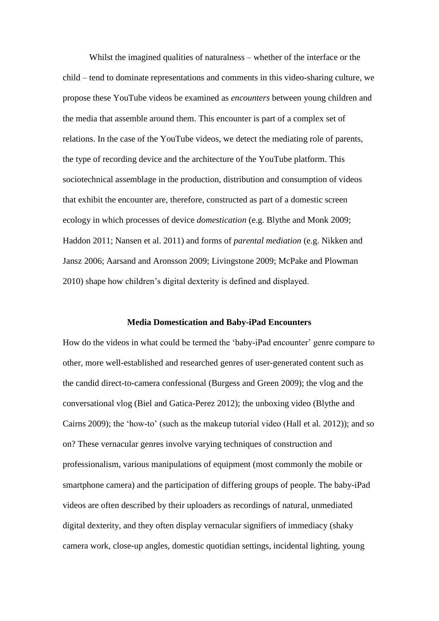Whilst the imagined qualities of naturalness – whether of the interface or the child – tend to dominate representations and comments in this video-sharing culture, we propose these YouTube videos be examined as *encounters* between young children and the media that assemble around them. This encounter is part of a complex set of relations. In the case of the YouTube videos, we detect the mediating role of parents, the type of recording device and the architecture of the YouTube platform. This sociotechnical assemblage in the production, distribution and consumption of videos that exhibit the encounter are, therefore, constructed as part of a domestic screen ecology in which processes of device *domestication* (e.g. Blythe and Monk 2009; Haddon 2011; Nansen et al. 2011) and forms of *parental mediation* (e.g. Nikken and Jansz 2006; Aarsand and Aronsson 2009; Livingstone 2009; McPake and Plowman 2010) shape how children's digital dexterity is defined and displayed.

#### **Media Domestication and Baby-iPad Encounters**

How do the videos in what could be termed the 'baby-iPad encounter' genre compare to other, more well-established and researched genres of user-generated content such as the candid direct-to-camera confessional (Burgess and Green 2009); the vlog and the conversational vlog (Biel and Gatica-Perez 2012); the unboxing video (Blythe and Cairns 2009); the 'how-to' (such as the makeup tutorial video (Hall et al. 2012)); and so on? These vernacular genres involve varying techniques of construction and professionalism, various manipulations of equipment (most commonly the mobile or smartphone camera) and the participation of differing groups of people. The baby-iPad videos are often described by their uploaders as recordings of natural, unmediated digital dexterity, and they often display vernacular signifiers of immediacy (shaky camera work, close-up angles, domestic quotidian settings, incidental lighting, young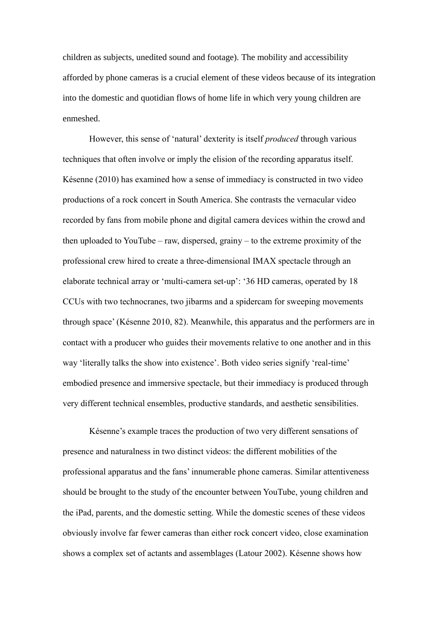children as subjects, unedited sound and footage). The mobility and accessibility afforded by phone cameras is a crucial element of these videos because of its integration into the domestic and quotidian flows of home life in which very young children are enmeshed.

However, this sense of 'natural' dexterity is itself *produced* through various techniques that often involve or imply the elision of the recording apparatus itself. Késenne (2010) has examined how a sense of immediacy is constructed in two video productions of a rock concert in South America. She contrasts the vernacular video recorded by fans from mobile phone and digital camera devices within the crowd and then uploaded to YouTube – raw, dispersed, grainy – to the extreme proximity of the professional crew hired to create a three-dimensional IMAX spectacle through an elaborate technical array or 'multi-camera set-up': '36 HD cameras, operated by 18 CCUs with two technocranes, two jibarms and a spidercam for sweeping movements through space' (Késenne 2010, 82). Meanwhile, this apparatus and the performers are in contact with a producer who guides their movements relative to one another and in this way 'literally talks the show into existence'. Both video series signify 'real-time' embodied presence and immersive spectacle, but their immediacy is produced through very different technical ensembles, productive standards, and aesthetic sensibilities.

Késenne's example traces the production of two very different sensations of presence and naturalness in two distinct videos: the different mobilities of the professional apparatus and the fans' innumerable phone cameras. Similar attentiveness should be brought to the study of the encounter between YouTube, young children and the iPad, parents, and the domestic setting. While the domestic scenes of these videos obviously involve far fewer cameras than either rock concert video, close examination shows a complex set of actants and assemblages (Latour 2002). Késenne shows how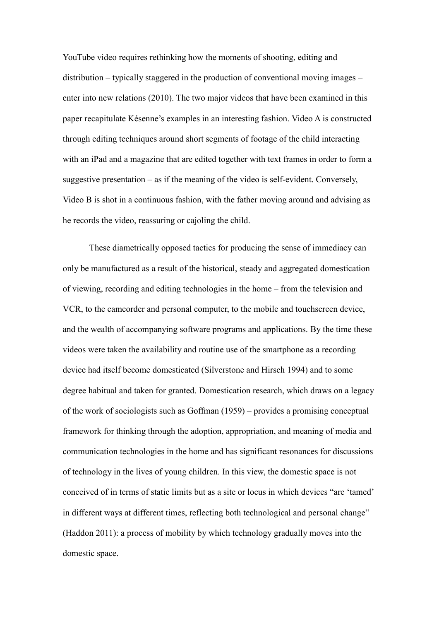YouTube video requires rethinking how the moments of shooting, editing and distribution – typically staggered in the production of conventional moving images – enter into new relations (2010). The two major videos that have been examined in this paper recapitulate Késenne's examples in an interesting fashion. Video A is constructed through editing techniques around short segments of footage of the child interacting with an iPad and a magazine that are edited together with text frames in order to form a suggestive presentation – as if the meaning of the video is self-evident. Conversely, Video B is shot in a continuous fashion, with the father moving around and advising as he records the video, reassuring or cajoling the child.

These diametrically opposed tactics for producing the sense of immediacy can only be manufactured as a result of the historical, steady and aggregated domestication of viewing, recording and editing technologies in the home – from the television and VCR, to the camcorder and personal computer, to the mobile and touchscreen device, and the wealth of accompanying software programs and applications. By the time these videos were taken the availability and routine use of the smartphone as a recording device had itself become domesticated (Silverstone and Hirsch 1994) and to some degree habitual and taken for granted. Domestication research, which draws on a legacy of the work of sociologists such as Goffman (1959) – provides a promising conceptual framework for thinking through the adoption, appropriation, and meaning of media and communication technologies in the home and has significant resonances for discussions of technology in the lives of young children. In this view, the domestic space is not conceived of in terms of static limits but as a site or locus in which devices "are 'tamed' in different ways at different times, reflecting both technological and personal change" (Haddon 2011): a process of mobility by which technology gradually moves into the domestic space.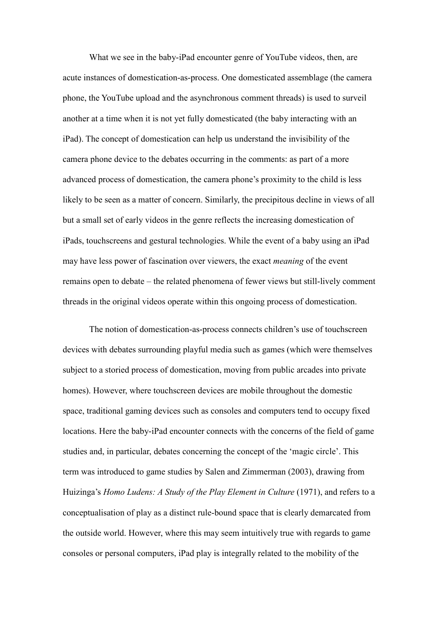What we see in the baby-iPad encounter genre of YouTube videos, then, are acute instances of domestication-as-process. One domesticated assemblage (the camera phone, the YouTube upload and the asynchronous comment threads) is used to surveil another at a time when it is not yet fully domesticated (the baby interacting with an iPad). The concept of domestication can help us understand the invisibility of the camera phone device to the debates occurring in the comments: as part of a more advanced process of domestication, the camera phone's proximity to the child is less likely to be seen as a matter of concern. Similarly, the precipitous decline in views of all but a small set of early videos in the genre reflects the increasing domestication of iPads, touchscreens and gestural technologies. While the event of a baby using an iPad may have less power of fascination over viewers, the exact *meaning* of the event remains open to debate – the related phenomena of fewer views but still-lively comment threads in the original videos operate within this ongoing process of domestication.

The notion of domestication-as-process connects children's use of touchscreen devices with debates surrounding playful media such as games (which were themselves subject to a storied process of domestication, moving from public arcades into private homes). However, where touchscreen devices are mobile throughout the domestic space, traditional gaming devices such as consoles and computers tend to occupy fixed locations. Here the baby-iPad encounter connects with the concerns of the field of game studies and, in particular, debates concerning the concept of the 'magic circle'. This term was introduced to game studies by Salen and Zimmerman (2003), drawing from Huizinga's *Homo Ludens: A Study of the Play Element in Culture* (1971), and refers to a conceptualisation of play as a distinct rule-bound space that is clearly demarcated from the outside world. However, where this may seem intuitively true with regards to game consoles or personal computers, iPad play is integrally related to the mobility of the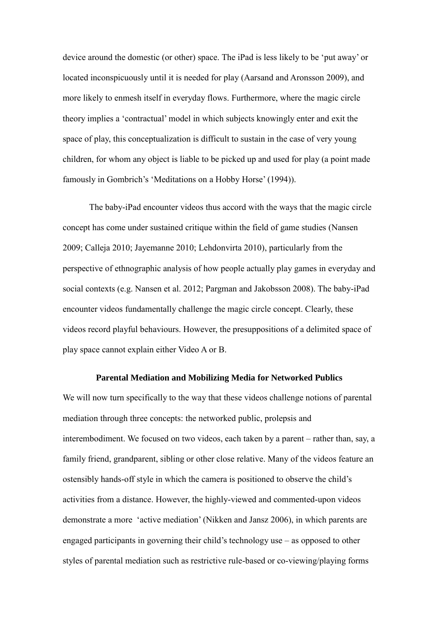device around the domestic (or other) space. The iPad is less likely to be 'put away' or located inconspicuously until it is needed for play (Aarsand and Aronsson 2009), and more likely to enmesh itself in everyday flows. Furthermore, where the magic circle theory implies a 'contractual' model in which subjects knowingly enter and exit the space of play, this conceptualization is difficult to sustain in the case of very young children, for whom any object is liable to be picked up and used for play (a point made famously in Gombrich's 'Meditations on a Hobby Horse' (1994)).

The baby-iPad encounter videos thus accord with the ways that the magic circle concept has come under sustained critique within the field of game studies (Nansen 2009; Calleja 2010; Jayemanne 2010; Lehdonvirta 2010), particularly from the perspective of ethnographic analysis of how people actually play games in everyday and social contexts (e.g. Nansen et al. 2012; Pargman and Jakobsson 2008). The baby-iPad encounter videos fundamentally challenge the magic circle concept. Clearly, these videos record playful behaviours. However, the presuppositions of a delimited space of play space cannot explain either Video A or B.

#### **Parental Mediation and Mobilizing Media for Networked Publics**

We will now turn specifically to the way that these videos challenge notions of parental mediation through three concepts: the networked public, prolepsis and interembodiment. We focused on two videos, each taken by a parent – rather than, say, a family friend, grandparent, sibling or other close relative. Many of the videos feature an ostensibly hands-off style in which the camera is positioned to observe the child's activities from a distance. However, the highly-viewed and commented-upon videos demonstrate a more 'active mediation' (Nikken and Jansz 2006), in which parents are engaged participants in governing their child's technology use – as opposed to other styles of parental mediation such as restrictive rule-based or co-viewing/playing forms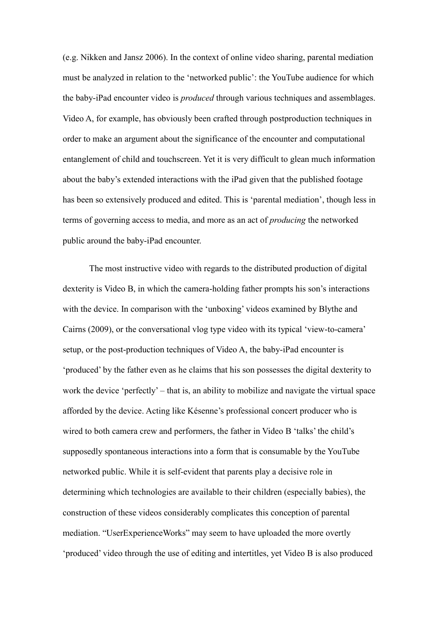(e.g. Nikken and Jansz 2006). In the context of online video sharing, parental mediation must be analyzed in relation to the 'networked public': the YouTube audience for which the baby-iPad encounter video is *produced* through various techniques and assemblages. Video A, for example, has obviously been crafted through postproduction techniques in order to make an argument about the significance of the encounter and computational entanglement of child and touchscreen. Yet it is very difficult to glean much information about the baby's extended interactions with the iPad given that the published footage has been so extensively produced and edited. This is 'parental mediation', though less in terms of governing access to media, and more as an act of *producing* the networked public around the baby-iPad encounter.

The most instructive video with regards to the distributed production of digital dexterity is Video B, in which the camera-holding father prompts his son's interactions with the device. In comparison with the 'unboxing' videos examined by Blythe and Cairns (2009), or the conversational vlog type video with its typical 'view-to-camera' setup, or the post-production techniques of Video A, the baby-iPad encounter is 'produced' by the father even as he claims that his son possesses the digital dexterity to work the device 'perfectly' – that is, an ability to mobilize and navigate the virtual space afforded by the device. Acting like Késenne's professional concert producer who is wired to both camera crew and performers, the father in Video B 'talks' the child's supposedly spontaneous interactions into a form that is consumable by the YouTube networked public. While it is self-evident that parents play a decisive role in determining which technologies are available to their children (especially babies), the construction of these videos considerably complicates this conception of parental mediation. "UserExperienceWorks" may seem to have uploaded the more overtly 'produced' video through the use of editing and intertitles, yet Video B is also produced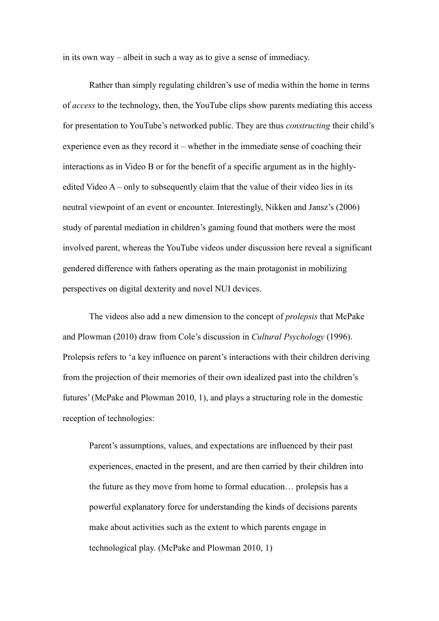in its own way – albeit in such a way as to give a sense of immediacy.

Rather than simply regulating children's use of media within the home in terms of *access* to the technology, then, the YouTube clips show parents mediating this access for presentation to YouTube's networked public. They are thus *constructing* their child's experience even as they record it – whether in the immediate sense of coaching their interactions as in Video B or for the benefit of a specific argument as in the highlyedited Video A – only to subsequently claim that the value of their video lies in its neutral viewpoint of an event or encounter. Interestingly, Nikken and Jansz's (2006) study of parental mediation in children's gaming found that mothers were the most involved parent, whereas the YouTube videos under discussion here reveal a significant gendered difference with fathers operating as the main protagonist in mobilizing perspectives on digital dexterity and novel NUI devices.

The videos also add a new dimension to the concept of *prolepsis* that McPake and Plowman (2010) draw from Cole's discussion in *Cultural Psychology* (1996). Prolepsis refers to 'a key influence on parent's interactions with their children deriving from the projection of their memories of their own idealized past into the children's futures' (McPake and Plowman 2010, 1), and plays a structuring role in the domestic reception of technologies:

Parent's assumptions, values, and expectations are influenced by their past experiences, enacted in the present, and are then carried by their children into the future as they move from home to formal education… prolepsis has a powerful explanatory force for understanding the kinds of decisions parents make about activities such as the extent to which parents engage in technological play. (McPake and Plowman 2010, 1)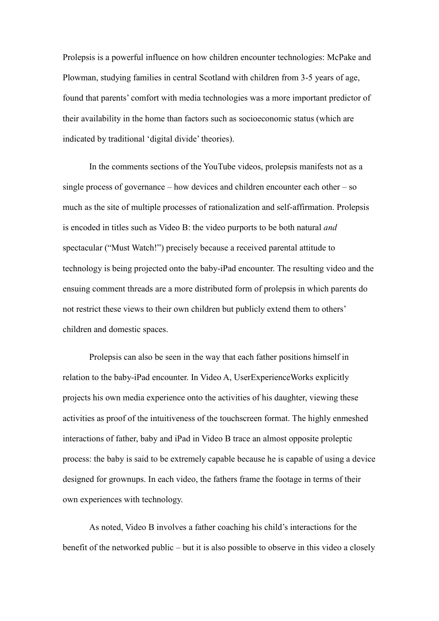Prolepsis is a powerful influence on how children encounter technologies: McPake and Plowman, studying families in central Scotland with children from 3-5 years of age, found that parents' comfort with media technologies was a more important predictor of their availability in the home than factors such as socioeconomic status (which are indicated by traditional 'digital divide' theories).

In the comments sections of the YouTube videos, prolepsis manifests not as a single process of governance – how devices and children encounter each other – so much as the site of multiple processes of rationalization and self-affirmation. Prolepsis is encoded in titles such as Video B: the video purports to be both natural *and* spectacular ("Must Watch!") precisely because a received parental attitude to technology is being projected onto the baby-iPad encounter. The resulting video and the ensuing comment threads are a more distributed form of prolepsis in which parents do not restrict these views to their own children but publicly extend them to others' children and domestic spaces.

Prolepsis can also be seen in the way that each father positions himself in relation to the baby-iPad encounter. In Video A, UserExperienceWorks explicitly projects his own media experience onto the activities of his daughter, viewing these activities as proof of the intuitiveness of the touchscreen format. The highly enmeshed interactions of father, baby and iPad in Video B trace an almost opposite proleptic process: the baby is said to be extremely capable because he is capable of using a device designed for grownups. In each video, the fathers frame the footage in terms of their own experiences with technology.

As noted, Video B involves a father coaching his child's interactions for the benefit of the networked public – but it is also possible to observe in this video a closely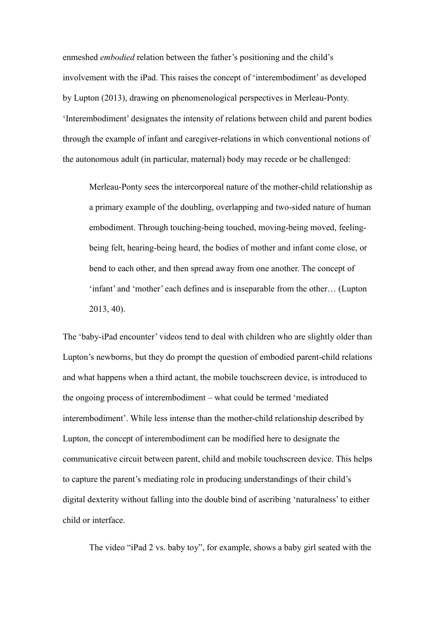enmeshed *embodied* relation between the father's positioning and the child's involvement with the iPad. This raises the concept of 'interembodiment' as developed by Lupton (2013), drawing on phenomenological perspectives in Merleau-Ponty. 'Interembodiment' designates the intensity of relations between child and parent bodies through the example of infant and caregiver-relations in which conventional notions of the autonomous adult (in particular, maternal) body may recede or be challenged:

Merleau-Ponty sees the intercorporeal nature of the mother-child relationship as a primary example of the doubling, overlapping and two-sided nature of human embodiment. Through touching-being touched, moving-being moved, feelingbeing felt, hearing-being heard, the bodies of mother and infant come close, or bend to each other, and then spread away from one another. The concept of 'infant' and 'mother' each defines and is inseparable from the other… (Lupton 2013, 40).

The 'baby-iPad encounter' videos tend to deal with children who are slightly older than Lupton's newborns, but they do prompt the question of embodied parent-child relations and what happens when a third actant, the mobile touchscreen device, is introduced to the ongoing process of interembodiment – what could be termed 'mediated interembodiment'. While less intense than the mother-child relationship described by Lupton, the concept of interembodiment can be modified here to designate the communicative circuit between parent, child and mobile touchscreen device. This helps to capture the parent's mediating role in producing understandings of their child's digital dexterity without falling into the double bind of ascribing 'naturalness' to either child or interface.

The video "iPad 2 vs. baby toy", for example, shows a baby girl seated with the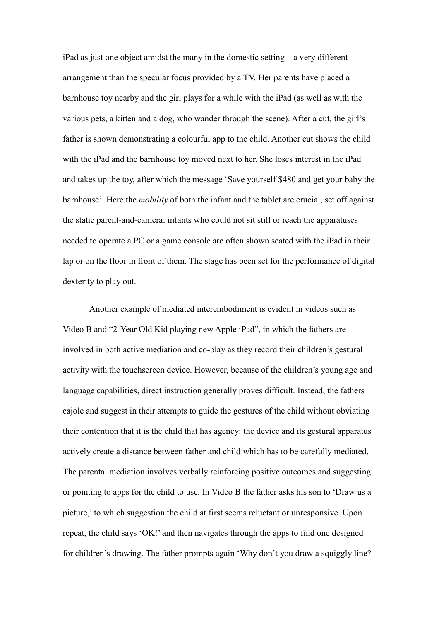iPad as just one object amidst the many in the domestic setting – a very different arrangement than the specular focus provided by a TV. Her parents have placed a barnhouse toy nearby and the girl plays for a while with the iPad (as well as with the various pets, a kitten and a dog, who wander through the scene). After a cut, the girl's father is shown demonstrating a colourful app to the child. Another cut shows the child with the iPad and the barnhouse toy moved next to her. She loses interest in the iPad and takes up the toy, after which the message 'Save yourself \$480 and get your baby the barnhouse'. Here the *mobility* of both the infant and the tablet are crucial, set off against the static parent-and-camera: infants who could not sit still or reach the apparatuses needed to operate a PC or a game console are often shown seated with the iPad in their lap or on the floor in front of them. The stage has been set for the performance of digital dexterity to play out.

Another example of mediated interembodiment is evident in videos such as Video B and "2-Year Old Kid playing new Apple iPad", in which the fathers are involved in both active mediation and co-play as they record their children's gestural activity with the touchscreen device. However, because of the children's young age and language capabilities, direct instruction generally proves difficult. Instead, the fathers cajole and suggest in their attempts to guide the gestures of the child without obviating their contention that it is the child that has agency: the device and its gestural apparatus actively create a distance between father and child which has to be carefully mediated. The parental mediation involves verbally reinforcing positive outcomes and suggesting or pointing to apps for the child to use. In Video B the father asks his son to 'Draw us a picture,' to which suggestion the child at first seems reluctant or unresponsive. Upon repeat, the child says 'OK!' and then navigates through the apps to find one designed for children's drawing. The father prompts again 'Why don't you draw a squiggly line?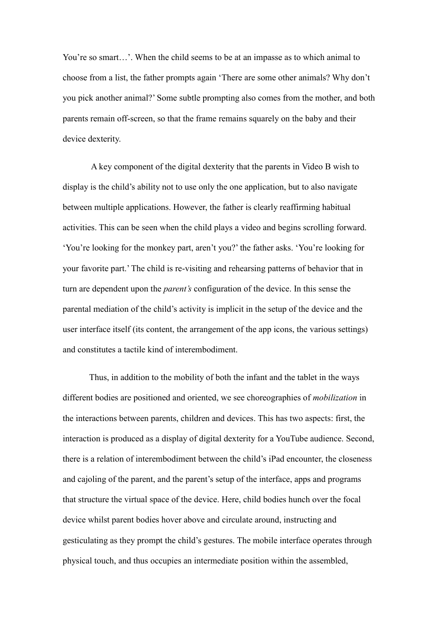You're so smart…'. When the child seems to be at an impasse as to which animal to choose from a list, the father prompts again 'There are some other animals? Why don't you pick another animal?' Some subtle prompting also comes from the mother, and both parents remain off-screen, so that the frame remains squarely on the baby and their device dexterity.

A key component of the digital dexterity that the parents in Video B wish to display is the child's ability not to use only the one application, but to also navigate between multiple applications. However, the father is clearly reaffirming habitual activities. This can be seen when the child plays a video and begins scrolling forward. 'You're looking for the monkey part, aren't you?' the father asks. 'You're looking for your favorite part.' The child is re-visiting and rehearsing patterns of behavior that in turn are dependent upon the *parent's* configuration of the device. In this sense the parental mediation of the child's activity is implicit in the setup of the device and the user interface itself (its content, the arrangement of the app icons, the various settings) and constitutes a tactile kind of interembodiment.

Thus, in addition to the mobility of both the infant and the tablet in the ways different bodies are positioned and oriented, we see choreographies of *mobilization* in the interactions between parents, children and devices. This has two aspects: first, the interaction is produced as a display of digital dexterity for a YouTube audience. Second, there is a relation of interembodiment between the child's iPad encounter, the closeness and cajoling of the parent, and the parent's setup of the interface, apps and programs that structure the virtual space of the device. Here, child bodies hunch over the focal device whilst parent bodies hover above and circulate around, instructing and gesticulating as they prompt the child's gestures. The mobile interface operates through physical touch, and thus occupies an intermediate position within the assembled,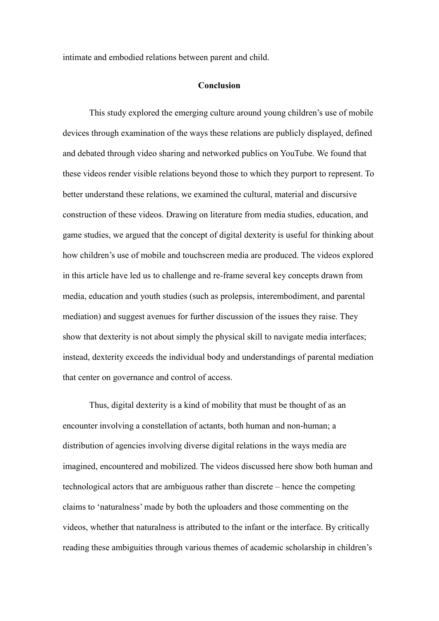intimate and embodied relations between parent and child.

#### **Conclusion**

This study explored the emerging culture around young children's use of mobile devices through examination of the ways these relations are publicly displayed, defined and debated through video sharing and networked publics on YouTube. We found that these videos render visible relations beyond those to which they purport to represent. To better understand these relations, we examined the cultural, material and discursive construction of these videos*.* Drawing on literature from media studies, education, and game studies, we argued that the concept of digital dexterity is useful for thinking about how children's use of mobile and touchscreen media are produced. The videos explored in this article have led us to challenge and re-frame several key concepts drawn from media, education and youth studies (such as prolepsis, interembodiment, and parental mediation) and suggest avenues for further discussion of the issues they raise. They show that dexterity is not about simply the physical skill to navigate media interfaces; instead, dexterity exceeds the individual body and understandings of parental mediation that center on governance and control of access.

Thus, digital dexterity is a kind of mobility that must be thought of as an encounter involving a constellation of actants, both human and non-human; a distribution of agencies involving diverse digital relations in the ways media are imagined, encountered and mobilized. The videos discussed here show both human and technological actors that are ambiguous rather than discrete – hence the competing claims to 'naturalness' made by both the uploaders and those commenting on the videos, whether that naturalness is attributed to the infant or the interface. By critically reading these ambiguities through various themes of academic scholarship in children's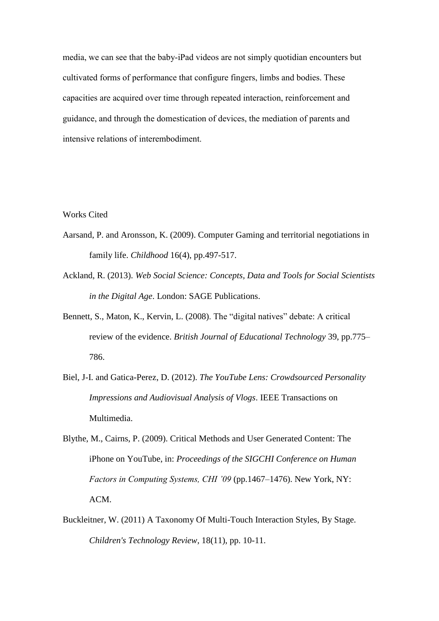media, we can see that the baby-iPad videos are not simply quotidian encounters but cultivated forms of performance that configure fingers, limbs and bodies. These capacities are acquired over time through repeated interaction, reinforcement and guidance, and through the domestication of devices, the mediation of parents and intensive relations of interembodiment.

Works Cited

- Aarsand, P. and Aronsson, K. (2009). Computer Gaming and territorial negotiations in family life. *Childhood* 16(4), pp.497-517.
- Ackland, R. (2013). *Web Social Science: Concepts, Data and Tools for Social Scientists in the Digital Age*. London: SAGE Publications.
- Bennett, S., Maton, K., Kervin, L. (2008). The "digital natives" debate: A critical review of the evidence. *British Journal of Educational Technology* 39, pp.775– 786.
- Biel, J-I. and Gatica-Perez, D. (2012). *The YouTube Lens: Crowdsourced Personality Impressions and Audiovisual Analysis of Vlogs*. IEEE Transactions on Multimedia.
- Blythe, M., Cairns, P. (2009). Critical Methods and User Generated Content: The iPhone on YouTube, in: *Proceedings of the SIGCHI Conference on Human Factors in Computing Systems, CHI '09* (pp.1467–1476). New York, NY: ACM.
- Buckleitner, W. (2011) A Taxonomy Of Multi-Touch Interaction Styles, By Stage. *Children's Technology Review,* 18(11), pp. 10-11.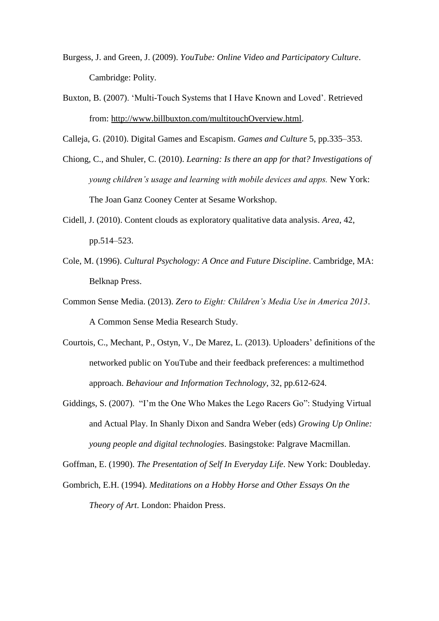- Burgess, J. and Green, J. (2009). *YouTube: Online Video and Participatory Culture*. Cambridge: Polity.
- Buxton, B. (2007). 'Multi-Touch Systems that I Have Known and Loved'. Retrieved from: [http://www.billbuxton.com/multitouchOverview.html.](http://www.billbuxton.com/multitouchOverview.html)

Calleja, G. (2010). Digital Games and Escapism. *Games and Culture* 5, pp.335–353.

- Chiong, C., and Shuler, C. (2010). *Learning: Is there an app for that? Investigations of young children's usage and learning with mobile devices and apps.* New York: The Joan Ganz Cooney Center at Sesame Workshop.
- Cidell, J. (2010). Content clouds as exploratory qualitative data analysis. *Area*, 42, pp.514–523.
- Cole, M. (1996). *Cultural Psychology: A Once and Future Discipline*. Cambridge, MA: Belknap Press.
- Common Sense Media. (2013). *Zero to Eight: Children's Media Use in America 2013*. A Common Sense Media Research Study.
- Courtois, C., Mechant, P., Ostyn, V., De Marez, L. (2013). Uploaders' definitions of the networked public on YouTube and their feedback preferences: a multimethod approach. *Behaviour and Information Technology*, 32, pp.612-624.
- Giddings, S. (2007). "I'm the One Who Makes the Lego Racers Go": Studying Virtual and Actual Play. In Shanly Dixon and Sandra Weber (eds) *Growing Up Online: young people and digital technologies*. Basingstoke: Palgrave Macmillan.

Goffman, E. (1990). *The Presentation of Self In Everyday Life*. New York: Doubleday.

Gombrich, E.H. (1994). *Meditations on a Hobby Horse and Other Essays On the Theory of Art*. London: Phaidon Press.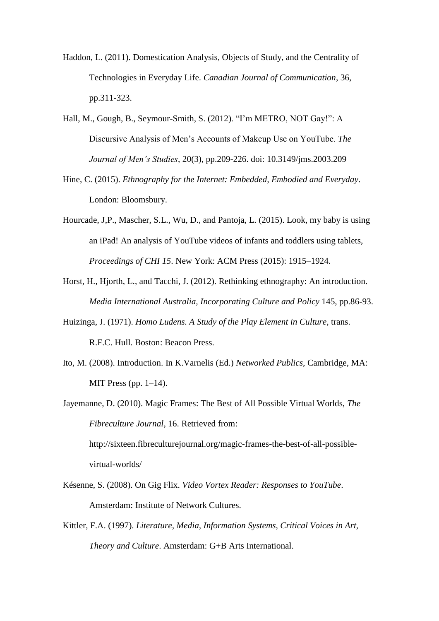- Haddon, L. (2011). Domestication Analysis, Objects of Study, and the Centrality of Technologies in Everyday Life. *Canadian Journal of Communication*, 36, pp.311-323.
- Hall, M., Gough, B., Seymour-Smith, S. (2012). "I'm METRO, NOT Gay!": A Discursive Analysis of Men's Accounts of Makeup Use on YouTube. *The Journal of Men's Studies*, 20(3), pp.209-226. doi: 10.3149/jms.2003.209
- Hine, C. (2015). *Ethnography for the Internet: Embedded, Embodied and Everyday*. London: Bloomsbury.
- Hourcade, J,P., Mascher, S.L., Wu, D., and Pantoja, L. (2015). Look, my baby is using an iPad! An analysis of YouTube videos of infants and toddlers using tablets, *Proceedings of CHI 15*. New York: ACM Press (2015): 1915–1924.
- Horst, H., Hjorth, L., and Tacchi, J. (2012). Rethinking ethnography: An introduction. *Media International Australia, Incorporating Culture and Policy* 145, pp.86-93.
- Huizinga, J. (1971). *Homo Ludens. A Study of the Play Element in Culture*, trans. R.F.C. Hull. Boston: Beacon Press.
- Ito, M. (2008). Introduction. In K.Varnelis (Ed.) *Networked Publics,* Cambridge, MA: MIT Press (pp.  $1-14$ ).
- Jayemanne, D. (2010). Magic Frames: The Best of All Possible Virtual Worlds, *The Fibreculture Journal*, 16. Retrieved from:

http://sixteen.fibreculturejournal.org/magic-frames-the-best-of-all-possiblevirtual-worlds/

- Késenne, S. (2008). On Gig Flix. *Video Vortex Reader: Responses to YouTube*. Amsterdam: Institute of Network Cultures.
- Kittler, F.A. (1997). *Literature, Media, Information Systems, Critical Voices in Art, Theory and Culture*. Amsterdam: G+B Arts International.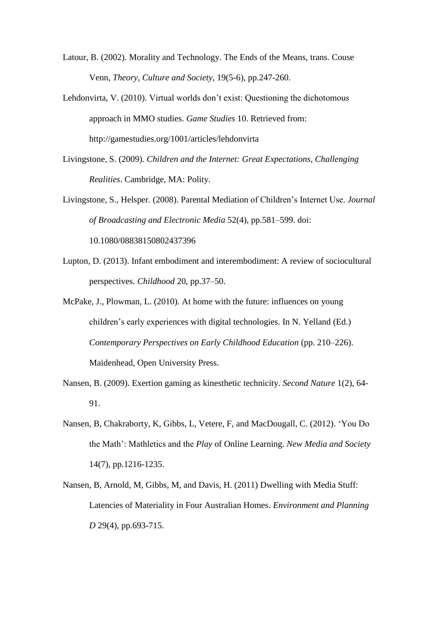Latour, B. (2002). Morality and Technology. The Ends of the Means, trans. Couse Venn, *Theory, Culture and Society*, 19(5-6), pp.247-260.

Lehdonvirta, V. (2010). Virtual worlds don't exist: Questioning the dichotomous approach in MMO studies. *Game Studies* 10. Retrieved from: http://gamestudies.org/1001/articles/lehdonvirta

Livingstone, S. (2009). *Children and the Internet: Great Expectations, Challenging Realities*. Cambridge, MA: Polity.

Livingstone, S., Helsper. (2008). Parental Mediation of Children's Internet Use. *Journal of Broadcasting and Electronic Media* 52(4), pp.581–599. doi: 10.1080/08838150802437396

Lupton, D. (2013). Infant embodiment and interembodiment: A review of sociocultural perspectives. *Childhood* 20, pp.37–50.

McPake, J., Plowman, L. (2010). At home with the future: influences on young children's early experiences with digital technologies. In N. Yelland (Ed.) *Contemporary Perspectives on Early Childhood Education* (pp. 210–226). Maidenhead, Open University Press.

- Nansen, B. (2009). Exertion gaming as kinesthetic technicity. *Second Nature* 1(2), 64- 91.
- Nansen, B, Chakraborty, K, Gibbs, L, Vetere, F, and MacDougall, C. (2012). 'You Do the Math': Mathletics and the *Play* of Online Learning. *New Media and Society* 14(7), pp.1216-1235.
- Nansen, B, Arnold, M, Gibbs, M, and Davis, H. (2011) Dwelling with Media Stuff: Latencies of Materiality in Four Australian Homes. *Environment and Planning D* 29(4), pp.693-715.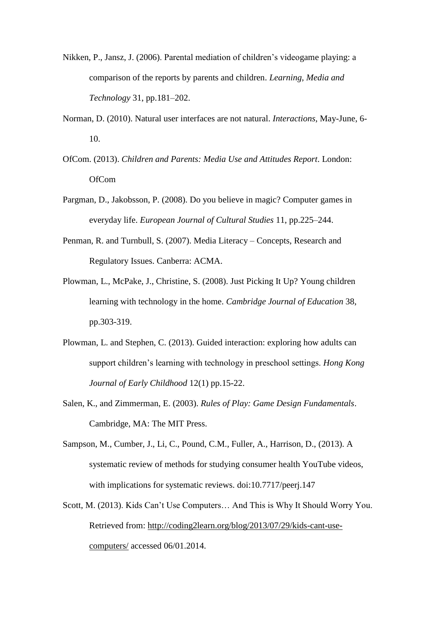- Nikken, P., Jansz, J. (2006). Parental mediation of children's videogame playing: a comparison of the reports by parents and children. *Learning, Media and Technology* 31, pp.181–202.
- Norman, D. (2010). Natural user interfaces are not natural. *Interactions,* May-June, 6- 10.
- OfCom. (2013). *Children and Parents: Media Use and Attitudes Report*. London: OfCom
- Pargman, D., Jakobsson, P. (2008). Do you believe in magic? Computer games in everyday life. *European Journal of Cultural Studies* 11, pp.225–244.
- Penman, R. and Turnbull, S. (2007). Media Literacy Concepts, Research and Regulatory Issues. Canberra: ACMA.
- Plowman, L., McPake, J., Christine, S. (2008). Just Picking It Up? Young children learning with technology in the home. *Cambridge Journal of Education* 38, pp.303-319.
- Plowman, L. and Stephen, C. (2013). Guided interaction: exploring how adults can support children's learning with technology in preschool settings. *Hong Kong Journal of Early Childhood* 12(1) pp.15-22.
- Salen, K., and Zimmerman, E. (2003). *Rules of Play: Game Design Fundamentals*. Cambridge, MA: The MIT Press.
- Sampson, M., Cumber, J., Li, C., Pound, C.M., Fuller, A., Harrison, D., (2013). A systematic review of methods for studying consumer health YouTube videos, with implications for systematic reviews. [doi:10.7717/peerj.147](http://dx.doi.org/10.7717/peerj.147)
- Scott, M. (2013). Kids Can't Use Computers… And This is Why It Should Worry You. Retrieved from: [http://coding2learn.org/blog/2013/07/29/kids-cant-use](http://coding2learn.org/blog/2013/07/29/kids-cant-use-computers/)[computers/](http://coding2learn.org/blog/2013/07/29/kids-cant-use-computers/) accessed 06/01.2014.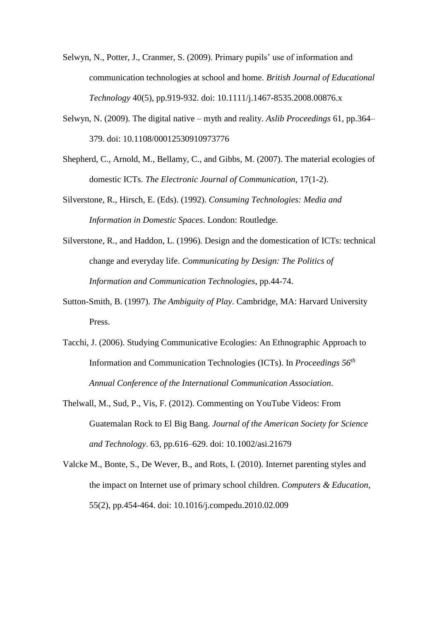- Selwyn, N., Potter, J., Cranmer, S. (2009). Primary pupils' use of information and communication technologies at school and home. *British Journal of Educational Technology* 40(5), pp.919-932. doi: 10.1111/j.1467-8535.2008.00876.x
- Selwyn, N. (2009). The digital native myth and reality. *Aslib Proceedings* 61, pp.364– 379. doi: [10.1108/00012530910973776](http://dx.doi.org/10.1108/00012530910973776)
- Shepherd, C., Arnold, M., Bellamy, C., and Gibbs, M. (2007). The material ecologies of domestic ICTs. *The Electronic Journal of Communication,* 17(1-2).
- Silverstone, R., Hirsch, E. (Eds). (1992). *Consuming Technologies: Media and Information in Domestic Spaces*. London: Routledge.
- Silverstone, R., and Haddon, L. (1996). Design and the domestication of ICTs: technical change and everyday life. *Communicating by Design: The Politics of Information and Communication Technologies*, pp.44-74.
- Sutton-Smith, B. (1997). *The Ambiguity of Play*. Cambridge, MA: Harvard University Press.
- Tacchi, J. (2006). Studying Communicative Ecologies: An Ethnographic Approach to Information and Communication Technologies (ICTs). In *Proceedings 56th Annual Conference of the International Communication Association*.
- Thelwall, M., Sud, P., Vis, F. (2012). Commenting on YouTube Videos: From Guatemalan Rock to El Big Bang. *Journal of the American Society for Science and Technology*. 63, pp.616–629. doi: 10.1002/asi.21679
- Valcke M., Bonte, S., De Wever, B., and Rots, I. (2010). Internet parenting styles and the impact on Internet use of primary school children. *Computers & Education*, 55(2), pp.454-464. doi: 10.1016/j.compedu.2010.02.009